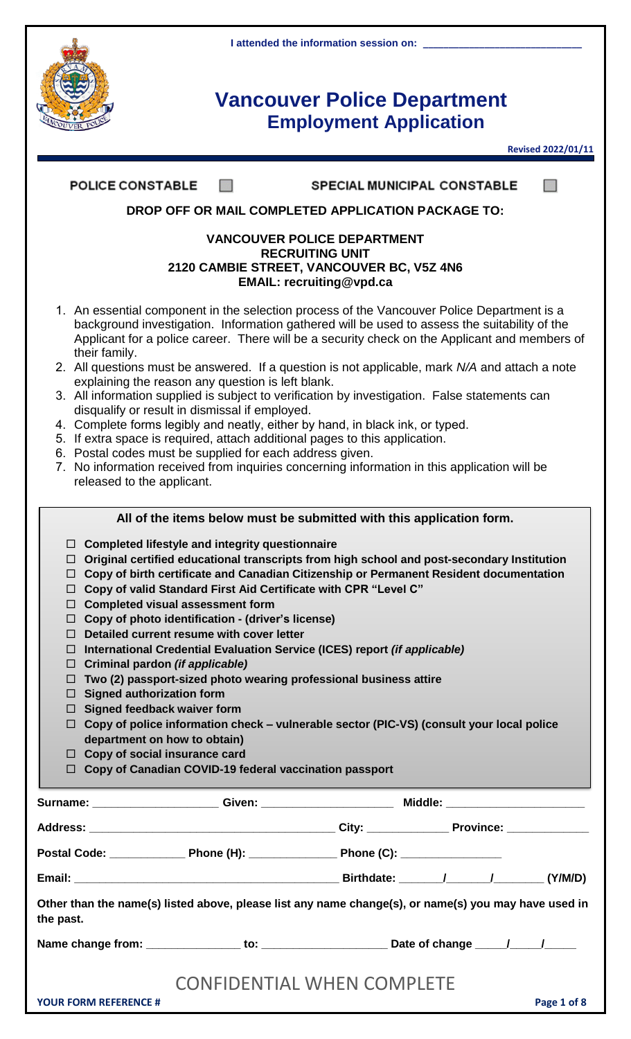

**Revised 2022/01/11**

| <b>POLICE CONSTABLE</b>                                                                                                                                                                                                                                                                                                                                                                                                                                                                                      | <b>SPECIAL MUNICIPAL CONSTABLE</b>                                                                                                                                                                                                                                                                                                                                                                                                                                                                                                                                                                                                                                                                                                                             |
|--------------------------------------------------------------------------------------------------------------------------------------------------------------------------------------------------------------------------------------------------------------------------------------------------------------------------------------------------------------------------------------------------------------------------------------------------------------------------------------------------------------|----------------------------------------------------------------------------------------------------------------------------------------------------------------------------------------------------------------------------------------------------------------------------------------------------------------------------------------------------------------------------------------------------------------------------------------------------------------------------------------------------------------------------------------------------------------------------------------------------------------------------------------------------------------------------------------------------------------------------------------------------------------|
|                                                                                                                                                                                                                                                                                                                                                                                                                                                                                                              | DROP OFF OR MAIL COMPLETED APPLICATION PACKAGE TO:                                                                                                                                                                                                                                                                                                                                                                                                                                                                                                                                                                                                                                                                                                             |
|                                                                                                                                                                                                                                                                                                                                                                                                                                                                                                              | <b>VANCOUVER POLICE DEPARTMENT</b><br><b>RECRUITING UNIT</b><br>2120 CAMBIE STREET, VANCOUVER BC, V5Z 4N6<br><b>EMAIL: recruiting@vpd.ca</b>                                                                                                                                                                                                                                                                                                                                                                                                                                                                                                                                                                                                                   |
| their family.<br>explaining the reason any question is left blank.<br>disqualify or result in dismissal if employed.<br>6. Postal codes must be supplied for each address given.<br>released to the applicant.                                                                                                                                                                                                                                                                                               | 1. An essential component in the selection process of the Vancouver Police Department is a<br>background investigation. Information gathered will be used to assess the suitability of the<br>Applicant for a police career. There will be a security check on the Applicant and members of<br>2. All questions must be answered. If a question is not applicable, mark N/A and attach a note<br>3. All information supplied is subject to verification by investigation. False statements can<br>4. Complete forms legibly and neatly, either by hand, in black ink, or typed.<br>5. If extra space is required, attach additional pages to this application.<br>7. No information received from inquiries concerning information in this application will be |
|                                                                                                                                                                                                                                                                                                                                                                                                                                                                                                              | All of the items below must be submitted with this application form.                                                                                                                                                                                                                                                                                                                                                                                                                                                                                                                                                                                                                                                                                           |
| $\Box$ Completed lifestyle and integrity questionnaire<br>□<br>□<br>□<br><b>Completed visual assessment form</b><br>□<br>$\Box$ Copy of photo identification - (driver's license)<br>Detailed current resume with cover letter<br>П.<br>Criminal pardon (if applicable)<br>⊔<br>□<br><b>Signed authorization form</b><br>ப<br>Signed feedback waiver form<br>$\Box$<br>department on how to obtain)<br>$\Box$ Copy of social insurance card<br>$\Box$ Copy of Canadian COVID-19 federal vaccination passport | Original certified educational transcripts from high school and post-secondary Institution<br>Copy of birth certificate and Canadian Citizenship or Permanent Resident documentation<br>Copy of valid Standard First Aid Certificate with CPR "Level C"<br>International Credential Evaluation Service (ICES) report (if applicable)<br>Two (2) passport-sized photo wearing professional business attire<br>$\Box$ Copy of police information check – vulnerable sector (PIC-VS) (consult your local police                                                                                                                                                                                                                                                   |
|                                                                                                                                                                                                                                                                                                                                                                                                                                                                                                              |                                                                                                                                                                                                                                                                                                                                                                                                                                                                                                                                                                                                                                                                                                                                                                |
|                                                                                                                                                                                                                                                                                                                                                                                                                                                                                                              |                                                                                                                                                                                                                                                                                                                                                                                                                                                                                                                                                                                                                                                                                                                                                                |
|                                                                                                                                                                                                                                                                                                                                                                                                                                                                                                              |                                                                                                                                                                                                                                                                                                                                                                                                                                                                                                                                                                                                                                                                                                                                                                |
|                                                                                                                                                                                                                                                                                                                                                                                                                                                                                                              |                                                                                                                                                                                                                                                                                                                                                                                                                                                                                                                                                                                                                                                                                                                                                                |
| the past.                                                                                                                                                                                                                                                                                                                                                                                                                                                                                                    | Other than the name(s) listed above, please list any name change(s), or name(s) you may have used in                                                                                                                                                                                                                                                                                                                                                                                                                                                                                                                                                                                                                                                           |
|                                                                                                                                                                                                                                                                                                                                                                                                                                                                                                              |                                                                                                                                                                                                                                                                                                                                                                                                                                                                                                                                                                                                                                                                                                                                                                |
| <b>YOUR FORM REFERENCE #</b>                                                                                                                                                                                                                                                                                                                                                                                                                                                                                 | <b>CONFIDENTIAL WHEN COMPLETE</b><br>Page 1 of 8                                                                                                                                                                                                                                                                                                                                                                                                                                                                                                                                                                                                                                                                                                               |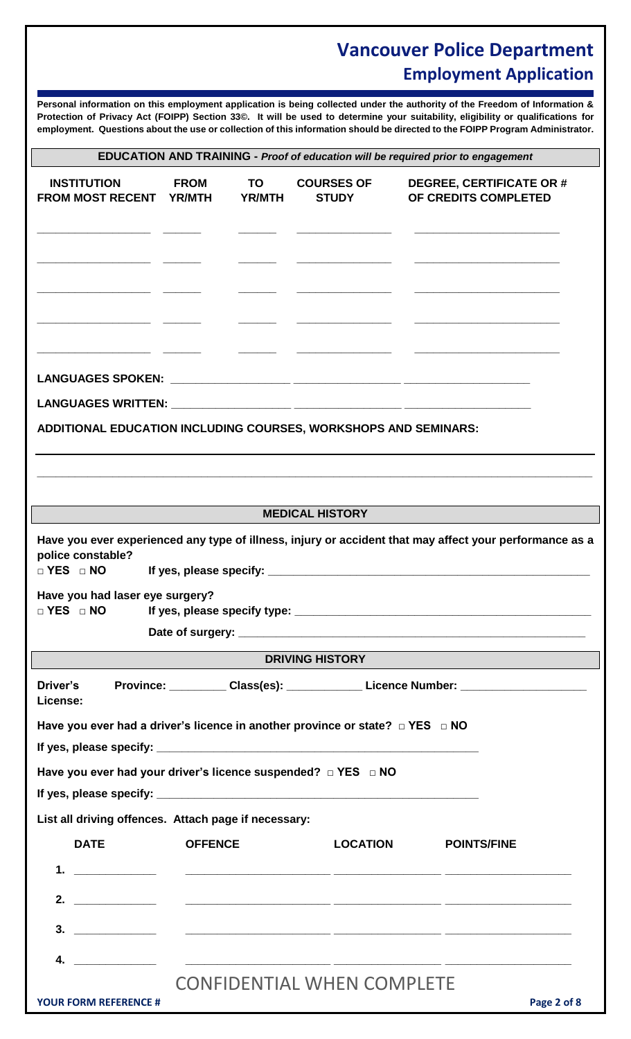**Personal information on this employment application is being collected under the authority of the Freedom of Information & Protection of Privacy Act (FOIPP) Section 33©. It will be used to determine your suitability, eligibility or qualifications for employment. Questions about the use or collection of this information should be directed to the FOIPP Program Administrator.**

| EDUCATION AND TRAINING - Proof of education will be required prior to engagement |  |  |  |
|----------------------------------------------------------------------------------|--|--|--|
|----------------------------------------------------------------------------------|--|--|--|

| <b>INSTITUTION</b><br>FROM MOST RECENT YR/MTH                                           | <b>FROM</b>    | <b>TO</b><br><b>YR/MTH</b> | <b>COURSES OF</b><br><b>STUDY</b> | <b>DEGREE, CERTIFICATE OR #</b><br>OF CREDITS COMPLETED                                                 |
|-----------------------------------------------------------------------------------------|----------------|----------------------------|-----------------------------------|---------------------------------------------------------------------------------------------------------|
|                                                                                         |                |                            |                                   |                                                                                                         |
|                                                                                         |                |                            |                                   |                                                                                                         |
|                                                                                         |                |                            |                                   |                                                                                                         |
|                                                                                         |                |                            |                                   |                                                                                                         |
|                                                                                         |                |                            |                                   |                                                                                                         |
|                                                                                         |                |                            |                                   |                                                                                                         |
| ADDITIONAL EDUCATION INCLUDING COURSES, WORKSHOPS AND SEMINARS:                         |                |                            |                                   |                                                                                                         |
|                                                                                         |                |                            |                                   |                                                                                                         |
|                                                                                         |                |                            |                                   |                                                                                                         |
|                                                                                         |                |                            | <b>MEDICAL HISTORY</b>            |                                                                                                         |
| police constable?<br>D YES D NO                                                         |                |                            |                                   | Have you ever experienced any type of illness, injury or accident that may affect your performance as a |
| Have you had laser eye surgery?                                                         |                |                            |                                   |                                                                                                         |
|                                                                                         |                |                            |                                   |                                                                                                         |
|                                                                                         |                |                            | <b>DRIVING HISTORY</b>            |                                                                                                         |
| Driver's<br>License:                                                                    |                |                            |                                   | Province: ____________Class(es): _______________Licence Number: _________________                       |
| Have you ever had a driver's licence in another province or state? $\Box$ YES $\Box$ NO |                |                            |                                   |                                                                                                         |
|                                                                                         |                |                            |                                   |                                                                                                         |
| Have you ever had your driver's licence suspended? $\Box$ YES $\Box$ NO                 |                |                            |                                   |                                                                                                         |
| List all driving offences. Attach page if necessary:                                    |                |                            |                                   |                                                                                                         |
| <b>DATE</b>                                                                             | <b>OFFENCE</b> |                            | <b>LOCATION</b>                   |                                                                                                         |
|                                                                                         |                |                            |                                   | <b>POINTS/FINE</b>                                                                                      |
|                                                                                         |                |                            |                                   |                                                                                                         |
|                                                                                         |                |                            |                                   |                                                                                                         |
|                                                                                         |                |                            |                                   |                                                                                                         |
|                                                                                         |                |                            |                                   |                                                                                                         |
| <b>YOUR FORM REFERENCE #</b>                                                            |                |                            | <b>CONFIDENTIAL WHEN COMPLETE</b> | Page 2 of 8                                                                                             |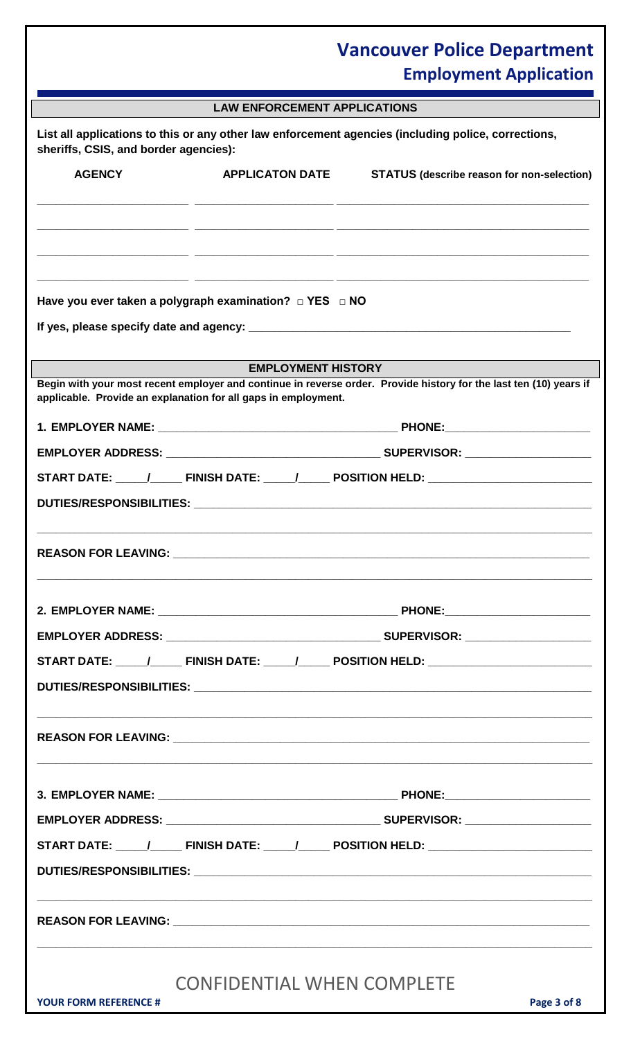|                                       | <b>LAW ENFORCEMENT APPLICATIONS</b>                               |                                                                                                                    |
|---------------------------------------|-------------------------------------------------------------------|--------------------------------------------------------------------------------------------------------------------|
| sheriffs, CSIS, and border agencies): |                                                                   | List all applications to this or any other law enforcement agencies (including police, corrections,                |
| <b>AGENCY</b>                         | <b>APPLICATON DATE</b>                                            | <b>STATUS (describe reason for non-selection)</b>                                                                  |
|                                       |                                                                   |                                                                                                                    |
|                                       |                                                                   |                                                                                                                    |
|                                       |                                                                   |                                                                                                                    |
|                                       |                                                                   |                                                                                                                    |
|                                       | Have you ever taken a polygraph examination? $\Box$ YES $\Box$ NO |                                                                                                                    |
|                                       |                                                                   |                                                                                                                    |
|                                       | <b>EMPLOYMENT HISTORY</b>                                         |                                                                                                                    |
|                                       | applicable. Provide an explanation for all gaps in employment.    | Begin with your most recent employer and continue in reverse order. Provide history for the last ten (10) years if |
|                                       |                                                                   |                                                                                                                    |
|                                       |                                                                   |                                                                                                                    |
|                                       |                                                                   | START DATE: _____/________ FINISH DATE: ______/_______ POSITION HELD: _____________________________                |
|                                       |                                                                   |                                                                                                                    |
|                                       |                                                                   |                                                                                                                    |
| <b>REASON FOR LEAVING:</b>            |                                                                   |                                                                                                                    |
|                                       |                                                                   |                                                                                                                    |
|                                       |                                                                   |                                                                                                                    |
|                                       |                                                                   |                                                                                                                    |
|                                       |                                                                   | START DATE: _____/________ FINISH DATE: ______/_______ POSITION HELD: _____________________________                |
|                                       |                                                                   |                                                                                                                    |
|                                       |                                                                   |                                                                                                                    |
|                                       |                                                                   |                                                                                                                    |
|                                       |                                                                   |                                                                                                                    |
|                                       |                                                                   |                                                                                                                    |
|                                       |                                                                   |                                                                                                                    |
|                                       |                                                                   | START DATE: _____/________ FINISH DATE: ______/_______ POSITION HELD: _____________________________                |
|                                       |                                                                   |                                                                                                                    |
|                                       |                                                                   |                                                                                                                    |
|                                       |                                                                   |                                                                                                                    |
|                                       |                                                                   |                                                                                                                    |
|                                       | <b>CONFIDENTIAL WHEN COMPLETE</b>                                 |                                                                                                                    |
| <b>YOUR FORM REFERENCE #</b>          |                                                                   | Page 3 of 8                                                                                                        |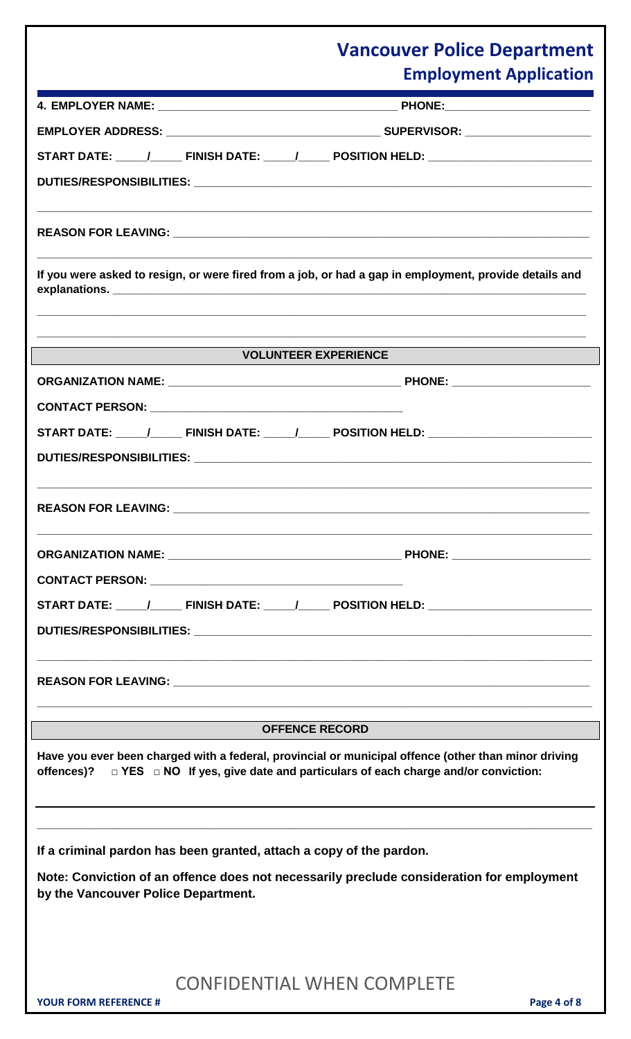|                                     | START DATE: _____/________ FINISH DATE: ______/_______ POSITION HELD: _____________________________                                                                                                         |
|-------------------------------------|-------------------------------------------------------------------------------------------------------------------------------------------------------------------------------------------------------------|
|                                     |                                                                                                                                                                                                             |
|                                     |                                                                                                                                                                                                             |
|                                     |                                                                                                                                                                                                             |
|                                     | <u> 1989 - Jan Barat de Barat de la contrada de la contrada de la contrada de la contrada de la contrada de la c</u>                                                                                        |
|                                     | If you were asked to resign, or were fired from a job, or had a gap in employment, provide details and                                                                                                      |
|                                     |                                                                                                                                                                                                             |
|                                     |                                                                                                                                                                                                             |
|                                     | <b>VOLUNTEER EXPERIENCE</b>                                                                                                                                                                                 |
|                                     |                                                                                                                                                                                                             |
|                                     |                                                                                                                                                                                                             |
|                                     | START DATE: _____/________ FINISH DATE: ______/_______ POSITION HELD: _____________________________                                                                                                         |
|                                     |                                                                                                                                                                                                             |
|                                     |                                                                                                                                                                                                             |
|                                     |                                                                                                                                                                                                             |
|                                     |                                                                                                                                                                                                             |
|                                     |                                                                                                                                                                                                             |
|                                     |                                                                                                                                                                                                             |
|                                     |                                                                                                                                                                                                             |
|                                     |                                                                                                                                                                                                             |
|                                     |                                                                                                                                                                                                             |
|                                     |                                                                                                                                                                                                             |
|                                     |                                                                                                                                                                                                             |
|                                     | <b>OFFENCE RECORD</b>                                                                                                                                                                                       |
|                                     | Have you ever been charged with a federal, provincial or municipal offence (other than minor driving<br>offences)? $\Box$ YES $\Box$ NO If yes, give date and particulars of each charge and/or conviction: |
|                                     |                                                                                                                                                                                                             |
|                                     |                                                                                                                                                                                                             |
|                                     |                                                                                                                                                                                                             |
|                                     | If a criminal pardon has been granted, attach a copy of the pardon.                                                                                                                                         |
| by the Vancouver Police Department. | Note: Conviction of an offence does not necessarily preclude consideration for employment                                                                                                                   |
|                                     |                                                                                                                                                                                                             |
|                                     |                                                                                                                                                                                                             |
|                                     |                                                                                                                                                                                                             |
|                                     | <b>CONFIDENTIAL WHEN COMPLETE</b>                                                                                                                                                                           |
| <b>YOUR FORM REFERENCE #</b>        | Page 4 of 8                                                                                                                                                                                                 |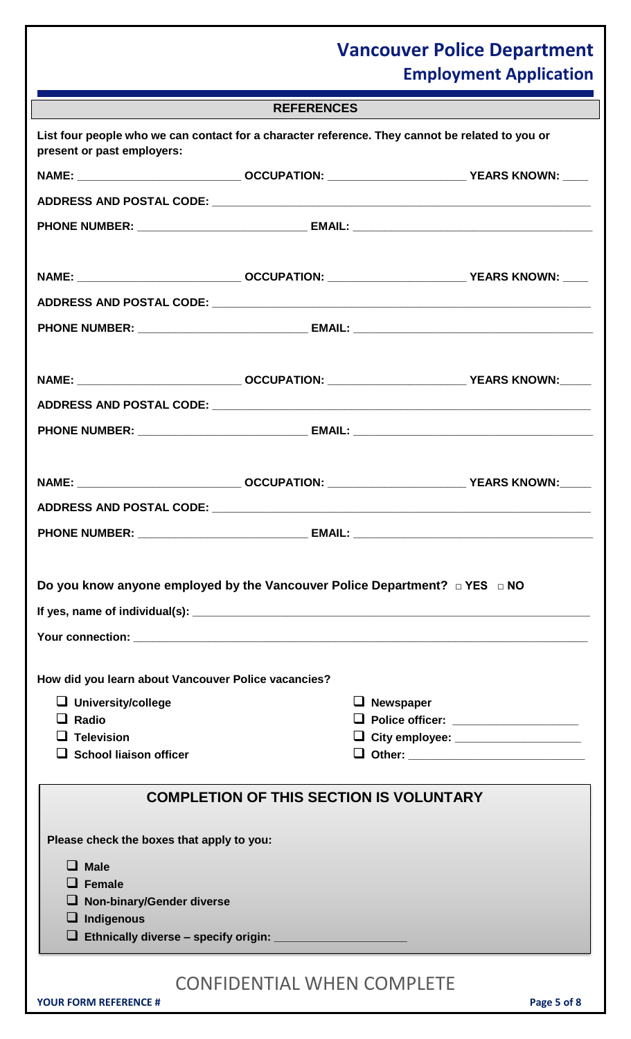|                                                                                                                               | <b>REFERENCES</b>                              |                  |                                       |
|-------------------------------------------------------------------------------------------------------------------------------|------------------------------------------------|------------------|---------------------------------------|
| List four people who we can contact for a character reference. They cannot be related to you or<br>present or past employers: |                                                |                  |                                       |
| NAME: ___________________________________ OCCUPATION: ______________________________YEARS KNOWN: ____                         |                                                |                  |                                       |
|                                                                                                                               |                                                |                  |                                       |
|                                                                                                                               |                                                |                  |                                       |
|                                                                                                                               |                                                |                  |                                       |
| NAME: ___________________________________ OCCUPATION: _____________________________YEARS KNOWN: ____                          |                                                |                  |                                       |
|                                                                                                                               |                                                |                  |                                       |
|                                                                                                                               |                                                |                  |                                       |
|                                                                                                                               |                                                |                  |                                       |
|                                                                                                                               |                                                |                  |                                       |
|                                                                                                                               |                                                |                  |                                       |
|                                                                                                                               |                                                |                  |                                       |
|                                                                                                                               |                                                |                  |                                       |
|                                                                                                                               |                                                |                  |                                       |
|                                                                                                                               |                                                |                  |                                       |
| PHONE NUMBER: ___________________________________ EMAIL: ________________________                                             |                                                |                  |                                       |
|                                                                                                                               |                                                |                  |                                       |
| Do you know anyone employed by the Vancouver Police Department? □ YES □ NO                                                    |                                                |                  |                                       |
|                                                                                                                               |                                                |                  |                                       |
|                                                                                                                               |                                                |                  |                                       |
|                                                                                                                               |                                                |                  |                                       |
| How did you learn about Vancouver Police vacancies?                                                                           |                                                |                  |                                       |
| $\Box$ University/college<br>$\Box$ Radio                                                                                     |                                                | $\Box$ Newspaper | □ Police officer: __________________  |
| $\Box$ Television                                                                                                             |                                                |                  | □ City employee: ____________________ |
| $\Box$ School liaison officer                                                                                                 |                                                |                  |                                       |
|                                                                                                                               |                                                |                  |                                       |
|                                                                                                                               | <b>COMPLETION OF THIS SECTION IS VOLUNTARY</b> |                  |                                       |
| Please check the boxes that apply to you:                                                                                     |                                                |                  |                                       |
| <b>Male</b>                                                                                                                   |                                                |                  |                                       |
| $\Box$ Female                                                                                                                 |                                                |                  |                                       |
| <b>Non-binary/Gender diverse</b>                                                                                              |                                                |                  |                                       |
| Indigenous                                                                                                                    |                                                |                  |                                       |
|                                                                                                                               |                                                |                  |                                       |
|                                                                                                                               |                                                |                  |                                       |
| <b>YOUR FORM REFERENCE #</b>                                                                                                  | <b>CONFIDENTIAL WHEN COMPLETE</b>              |                  | Page 5 of 8                           |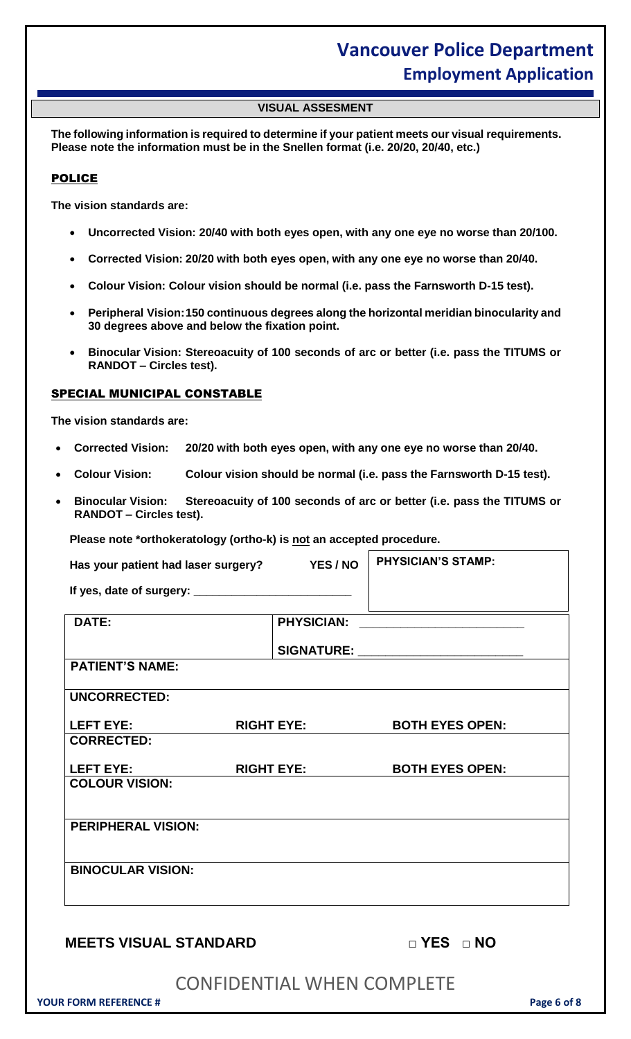#### **VISUAL ASSESMENT**

**The following information is required to determine if your patient meets our visual requirements. Please note the information must be in the Snellen format (i.e. 20/20, 20/40, etc.)**

#### POLICE

**The vision standards are:**

- **Uncorrected Vision: 20/40 with both eyes open, with any one eye no worse than 20/100.**
- **Corrected Vision: 20/20 with both eyes open, with any one eye no worse than 20/40.**
- **Colour Vision: Colour vision should be normal (i.e. pass the Farnsworth D-15 test).**
- **Peripheral Vision:150 continuous degrees along the horizontal meridian binocularity and 30 degrees above and below the fixation point.**
- **Binocular Vision: Stereoacuity of 100 seconds of arc or better (i.e. pass the TITUMS or RANDOT – Circles test).**

#### SPECIAL MUNICIPAL CONSTABLE

**The vision standards are:**

- **Corrected Vision: 20/20 with both eyes open, with any one eye no worse than 20/40.**
- **Colour Vision: Colour vision should be normal (i.e. pass the Farnsworth D-15 test).**
- **Binocular Vision: Stereoacuity of 100 seconds of arc or better (i.e. pass the TITUMS or RANDOT – Circles test).**

**Please note \*orthokeratology (ortho-k) is not an accepted procedure.**

| <b>DATE:</b>                                                                                                                                                                                                                   |                                    |  |
|--------------------------------------------------------------------------------------------------------------------------------------------------------------------------------------------------------------------------------|------------------------------------|--|
|                                                                                                                                                                                                                                | SIGNATURE: _______________________ |  |
| <b>PATIENT'S NAME:</b>                                                                                                                                                                                                         |                                    |  |
| <b>UNCORRECTED:</b>                                                                                                                                                                                                            |                                    |  |
| LEFT EYE: The control of the control of the control of the control of the control of the control of the control of the control of the control of the control of the control of the control of the control of the control of th | RIGHT EYE: BOTH EYES OPEN:         |  |
| <b>CORRECTED:</b>                                                                                                                                                                                                              |                                    |  |
| LEFT EYE: The contract of the contract of the contract of the contract of the contract of the contract of the contract of the contract of the contract of the contract of the contract of the contract of the contract of the  | RIGHT EYE: BOTH EYES OPEN:         |  |
| <b>COLOUR VISION:</b>                                                                                                                                                                                                          |                                    |  |
| <b>PERIPHERAL VISION:</b>                                                                                                                                                                                                      |                                    |  |
| <b>BINOCULAR VISION:</b>                                                                                                                                                                                                       |                                    |  |
| <b>MEETS VISUAL STANDARD</b>                                                                                                                                                                                                   | $\Box$ YES $\Box$ NO               |  |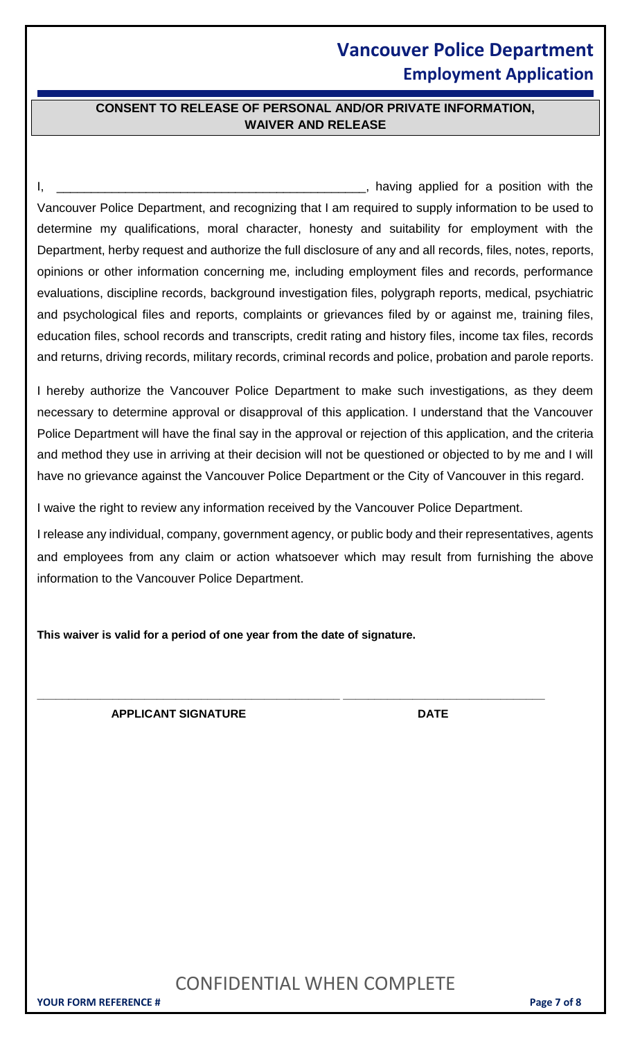#### **CONSENT TO RELEASE OF PERSONAL AND/OR PRIVATE INFORMATION, WAIVER AND RELEASE**

I, \_\_\_\_\_\_\_\_\_\_\_\_\_\_\_\_\_\_\_\_\_\_\_\_\_\_\_\_\_\_\_\_\_\_\_\_\_\_\_\_\_\_\_\_\_, having applied for a position with the Vancouver Police Department, and recognizing that I am required to supply information to be used to determine my qualifications, moral character, honesty and suitability for employment with the Department, herby request and authorize the full disclosure of any and all records, files, notes, reports, opinions or other information concerning me, including employment files and records, performance evaluations, discipline records, background investigation files, polygraph reports, medical, psychiatric and psychological files and reports, complaints or grievances filed by or against me, training files, education files, school records and transcripts, credit rating and history files, income tax files, records and returns, driving records, military records, criminal records and police, probation and parole reports.

I hereby authorize the Vancouver Police Department to make such investigations, as they deem necessary to determine approval or disapproval of this application. I understand that the Vancouver Police Department will have the final say in the approval or rejection of this application, and the criteria and method they use in arriving at their decision will not be questioned or objected to by me and I will have no grievance against the Vancouver Police Department or the City of Vancouver in this regard.

I waive the right to review any information received by the Vancouver Police Department.

**\_\_\_\_\_\_\_\_\_\_\_\_\_\_\_\_\_\_\_\_\_\_\_\_\_\_\_\_\_\_\_\_\_\_\_\_\_\_\_\_\_\_\_\_\_\_\_\_ \_\_\_\_\_\_\_\_\_\_\_\_\_\_\_\_\_\_\_\_\_\_\_\_\_\_\_\_\_\_\_\_**

I release any individual, company, government agency, or public body and their representatives, agents and employees from any claim or action whatsoever which may result from furnishing the above information to the Vancouver Police Department.

**This waiver is valid for a period of one year from the date of signature.**

**APPLICANT SIGNATURE DATE**

### CONFIDENTIAL WHEN COMPLETE